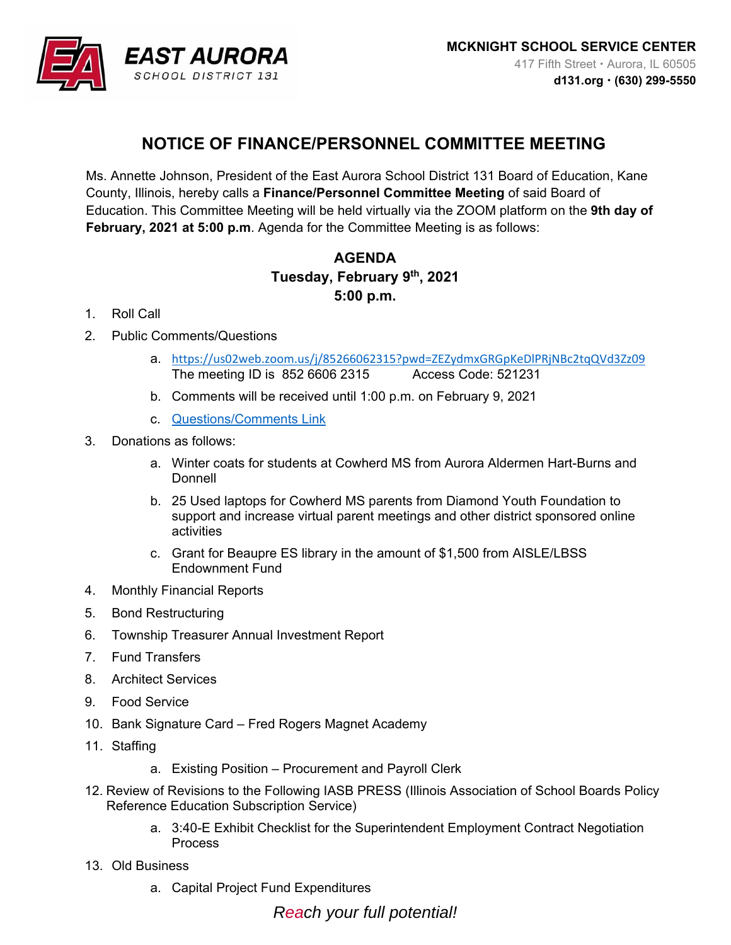

## **NOTICE OF FINANCE/PERSONNEL COMMITTEE MEETING**

Ms. Annette Johnson, President of the East Aurora School District 131 Board of Education, Kane County, Illinois, hereby calls a **Finance/Personnel Committee Meeting** of said Board of Education. This Committee Meeting will be held virtually via the ZOOM platform on the **9th day of February, 2021 at 5:00 p.m**. Agenda for the Committee Meeting is as follows:

## **AGENDA Tuesday, February 9th, 2021 5:00 p.m.**

- 1. Roll Call
- 2. Public Comments/Questions
	- a. https://us02web.zoom.us/j/85266062315?pwd=ZEZydmxGRGpKeDlPRjNBc2tqQVd3Zz09 The meeting ID is 852 6606 2315 Access Code: 521231
	- b. Comments will be received until 1:00 p.m. on February 9, 2021
	- c. Questions/Comments Link
- 3. Donations as follows:
	- a. Winter coats for students at Cowherd MS from Aurora Aldermen Hart-Burns and **Donnell**
	- b. 25 Used laptops for Cowherd MS parents from Diamond Youth Foundation to support and increase virtual parent meetings and other district sponsored online activities
	- c. Grant for Beaupre ES library in the amount of \$1,500 from AISLE/LBSS Endownment Fund
- 4. Monthly Financial Reports
- 5. Bond Restructuring
- 6. Township Treasurer Annual Investment Report
- 7. Fund Transfers
- 8. Architect Services
- 9. Food Service
- 10. Bank Signature Card Fred Rogers Magnet Academy
- 11. Staffing
	- a. Existing Position Procurement and Payroll Clerk
- 12. Review of Revisions to the Following IASB PRESS (Illinois Association of School Boards Policy Reference Education Subscription Service)
	- a. 3:40-E Exhibit Checklist for the Superintendent Employment Contract Negotiation Process
- 13. Old Business
	- a. Capital Project Fund Expenditures

*Reach your full potential!*